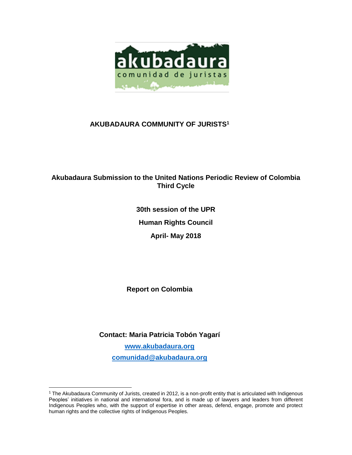

# **AKUBADAURA COMMUNITY OF JURISTS<sup>1</sup>**

# **Akubadaura Submission to the United Nations Periodic Review of Colombia Third Cycle**

**30th session of the UPR Human Rights Council April- May 2018**

**Report on Colombia**

**Contact: Maria Patricia Tobón Yagarí**

**[www.akubadaura.org](http://www.akubadaura.org/) [comunidad@akubadaura.org](mailto:comunidad@akubadaura.org)**

 $\overline{a}$ 

<sup>1</sup> The Akubadaura Community of Jurists, created in 2012, is a non-profit entity that is articulated with Indigenous Peoples' initiatives in national and international fora, and is made up of lawyers and leaders from different Indigenous Peoples who, with the support of expertise in other areas, defend, engage, promote and protect human rights and the collective rights of Indigenous Peoples.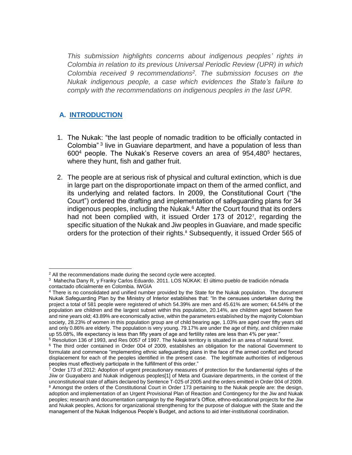*This submission highlights concerns about indigenous peoples' rights in Colombia in relation to its previous Universal Periodic Review (UPR) in which Colombia received 9 recommendations<sup>2</sup> . The submission focuses on the Nukak indigenous people, a case which evidences the State's failure to comply with the recommendations on indigenous peoples in the last UPR.*

# **A. INTRODUCTION**

- 1. The Nukak: "the last people of nomadic tradition to be officially contacted in Colombia<sup>" 3</sup> live in Guaviare department, and have a population of less than 600<sup>4</sup> people. The Nukak's Reserve covers an area of 954,480<sup>5</sup> hectares, where they hunt, fish and gather fruit.
- 2. The people are at serious risk of physical and cultural extinction, which is due in large part on the disproportionate impact on them of the armed conflict, and its underlying and related factors. In 2009, the Constitutional Court ("the Court") ordered the drafting and implementation of safeguarding plans for 34 indigenous peoples, including the Nukak.<sup>6</sup> After the Court found that its orders had not been complied with, it issued Order 173 of 2012<sup>7</sup>, regarding the specific situation of the Nukak and Jiw peoples in Guaviare, and made specific orders for the protection of their rights.<sup>8</sup> Subsequently, it issued Order 565 of

 $\overline{a}$ <sup>2</sup> All the recommendations made during the second cycle were accepted.

 $^3$  Mahecha Dany R, y Franky Carlos Eduardo. 2011. LOS NÜKAK: El último pueblo de tradición nómada contactado oficialmente en Colombia. IWGIA

<sup>4</sup> There is no consolidated and unified number provided by the State for the Nukak population. The document Nukak Safeguarding Plan by the Ministry of Interior establishes that: "In the censuses undertaken during the project a total of 581 people were registered of which 54.39% are men and 45.61% are women; 64.54% of the population are children and the largest subset within this population, 20.14%, are children aged between five and nine years old; 43.89% are economically active, within the parameters established by the majority Colombian society, 28.23% of women in this population group are of child bearing age, 1.03% are aged over fifty years old and only 0.86% are elderly. The population is very young. 79.17% are under the age of thirty, and children make up 55.08%, life expectancy is less than fifty years of age and fertility rates are less than 4% per year."

<sup>&</sup>lt;sup>5</sup> Resolution 136 of 1993, and Res 0057 of 1997. The Nukak territory is situated in an area of natural forest.

<sup>&</sup>lt;sup>6</sup> The third order contained in Order 004 of 2009, establishes an obligation for the national Government to formulate and commence "implementing ethnic safeguarding plans in the face of the armed conflict and forced displacement for each of the peoples identified in the present case. The legitimate authorities of indigenous peoples must effectively participate in the fulfillment of this order."

 $^7$  Order 173 of 2012: Adoption of urgent precautionary measures of protection for the fundamental rights of the Jiiw or Guayabero and Nukak indigenous peoples[1] of Meta and Guaviare departments, in the context of the unconstitutional state of affairs declared by Sentence T-025 of 2005 and the orders emitted in Order 004 of 2009. <sup>8</sup> Amongst the orders of the Constitutional Court in Order 173 pertaining to the Nukak people are: the design, adoption and implementation of an Urgent Provisional Plan of Reaction and Contingency for the Jiw and Nukak peoples; research and documentation campaign by the Registrar's Office, ethno-educational projects for the Jiw and Nukak peoples, Actions for organizational strengthening for the purpose of dialogue with the State and the management of the Nukak Indigenous People's Budget, and actions to aid inter-institutional coordination.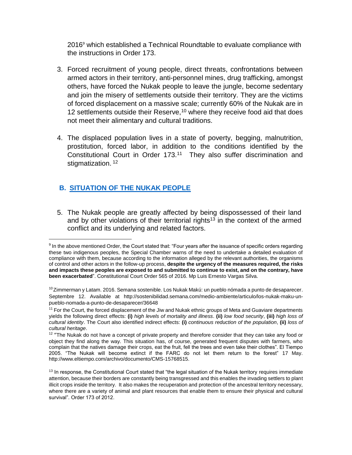2016<sup>9</sup> which established a Technical Roundtable to evaluate compliance with the instructions in Order 173.

- 3. Forced recruitment of young people, direct threats, confrontations between armed actors in their territory, anti-personnel mines, drug trafficking, amongst others, have forced the Nukak people to leave the jungle, become sedentary and join the misery of settlements outside their territory. They are the victims of forced displacement on a massive scale; currently 60% of the Nukak are in 12 settlements outside their Reserve, $10$  where they receive food aid that does not meet their alimentary and cultural traditions.
- 4. The displaced population lives in a state of poverty, begging, malnutrition, prostitution, forced labor, in addition to the conditions identified by the Constitutional Court in Order 173.<sup>11</sup> They also suffer discrimination and stigmatization.<sup>12</sup>

## **B. SITUATION OF THE NUKAK PEOPLE**

 $\overline{a}$ 

5. The Nukak people are greatly affected by being dispossessed of their land and by other violations of their territorial rights<sup>13</sup> in the context of the armed conflict and its underlying and related factors.

<sup>&</sup>lt;sup>9</sup> In the above mentioned Order, the Court stated that: "Four years after the issuance of specific orders regarding these two indigenous peoples, the Special Chamber warns of the need to undertake a detailed evaluation of compliance with them, because according to the information alleged by the relevant authorities, the organisms of control and other actors in the follow-up process, **despite the urgency of the measures required, the risks and impacts these peoples are exposed to and submitted to continue to exist, and on the contrary, have been exacerbated**". Constitutional Court Order 565 of 2016. Mp Luis Ernesto Vargas Silva.

<sup>&</sup>lt;sup>10</sup>Zimmerman y Latam. 2016. Semana sostenible[. Los Nukak Makú: un pueblo nómada a punto de desaparecer.](http://sostenibilidad.semana.com/medio-ambiente/articulo/los-nukak-maku-un-pueblo-nomada-a-punto-de-desaparecer/36648) Septembre 12. Available at http://sostenibilidad.semana.com/medio-ambiente/articulo/los-nukak-maku-unpueblo-nomada-a-punto-de-desaparecer/36648

<sup>&</sup>lt;sup>11</sup> For the Court, the forced displacement of the Jiw and Nukak ethnic groups of Meta and Guaviare departments yields the following direct effects: **(i)** *high levels of mortality and illness*. **(ii)** *low food security*, **(iii)** *high loss of cultural identity*. The Court also identified indirect effects: **(i)** *continuous reduction of the population*, **(ii)** *loss of cultural heritage*.

<sup>&</sup>lt;sup>12</sup> "The Nukak do not have a concept of private property and therefore consider that they can take any food or object they find along the way. This situation has, of course, generated frequent disputes with farmers, who complain that the natives damage their crops, eat the fruit, fell the trees and even take their clothes". El Tiempo 2005. "The Nukak will become extinct if the FARC do not let them return to the forest" 17 May. http://www.eltiempo.com/archivo/documento/CMS-15768515.

 $13$  In response, the Constitutional Court stated that "the legal situation of the Nukak territory requires immediate attention, because their borders are constantly being transgressed and this enables the invading settlers to plant illicit crops inside the territory. It also makes the recuperation and protection of the ancestral territory necessary, where there are a variety of animal and plant resources that enable them to ensure their physical and cultural survival". Order 173 of 2012.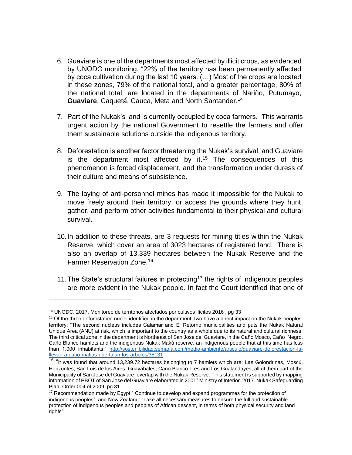- 6. Guaviare is one of the departments most affected by illicit crops, as evidenced by UNODC monitoring. "22% of the territory has been permanently affected by coca cultivation during the last 10 years. (…) Most of the crops are located in these zones, 79% of the national total, and a greater percentage, 80% of the national total, are located in the departments of Nariño, Putumayo, **Guaviare**, Caquetá́, Cauca, Meta and North Santander.<sup>14</sup>
- 7. Part of the Nukak's land is currently occupied by coca farmers. This warrants urgent action by the national Government to resettle the farmers and offer them sustainable solutions outside the indigenous territory.
- 8. Deforestation is another factor threatening the Nukak's survival, and Guaviare is the department most affected by it.<sup>15</sup> The consequences of this phenomenon is forced displacement, and the transformation under duress of their culture and means of subsistence.
- 9. The laying of anti-personnel mines has made it impossible for the Nukak to move freely around their territory, or access the grounds where they hunt, gather, and perform other activities fundamental to their physical and cultural survival.
- 10.In addition to these threats, are 3 requests for mining titles within the Nukak Reserve, which cover an area of 3023 hectares of registered land. There is also an overlap of 13,339 hectares between the Nukak Reserve and the Farmer Reservation Zone.<sup>16</sup>
- 11. The State's structural failures in protecting<sup>17</sup> the rights of indigenous peoples are more evident in the Nukak people. In fact the Court identified that one of

 $\ddot{\phantom{a}}$ 

<sup>14</sup> UNODC. 2017. Monitoreo de territorios afectados por cultivos ilícitos 2016 , pg 33

 $15$  Of the three deforestation nuclei identified in the department, two have a direct impact on the Nukak peoples' territory: "The second nucleus includes Calamar and El Retorno municipalities and puts the Nukak Natural Unique Area (ANU) at risk, which is important to the country as a whole due to its natural and cultural richness. The third critical zone in the department is Northeast of San Jose del Guaviare, in the Caño Mosco, Caño Negro, Caño Blanco hamlets and the indigenous Nukak Makú reserve, an indigenous people that at this time has less than 1,000 inhabitants." [http://sostenibilidad.semana.com/medio-ambiente/articulo/guaviare-deforestacion-la](http://sostenibilidad.semana.com/medio-ambiente/articulo/guaviare-deforestacion-la-llevan-a-cabo-mafias-que-talan-los-arboles/38131)[llevan-a-cabo-mafias-que-talan-los-arboles/38131](http://sostenibilidad.semana.com/medio-ambiente/articulo/guaviare-deforestacion-la-llevan-a-cabo-mafias-que-talan-los-arboles/38131)

<sup>&</sup>lt;sup>16</sup> "It was found that around 13,239.72 hectares belonging to 7 hamlets which are: Las Golondrinas, Moscú, Horizontes, San Luis de los Aires, Guayabales, Caño Blanco Tres and Los Gualandayes, all of them part of the Municipality of San Jose del Guaviare, overlap with the Nukak Reserve. This statement is supported by mapping information of PBOT of San Jose del Guaviare elaborated in 2001" Ministry of Interior. 2017. Nukak Safeguarding Plan. Order 004 of 2009, pg 31.

 $17$  Recommendation made by Egypt:" Continue to develop and expand programmes for the protection of indigenous peoples", and New Zealand: "Take all necessary measures to ensure the full and sustainable protection of indigenous peoples and peoples of African descent, in terms of both physical security and land rights"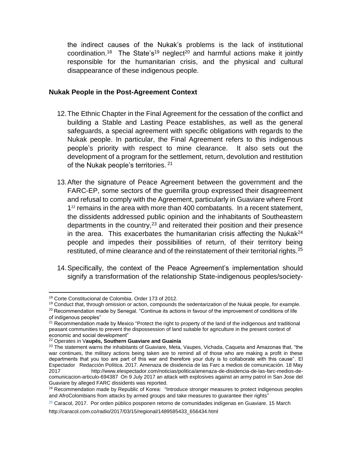the indirect causes of the Nukak's problems is the lack of institutional coordination.<sup>18</sup> The State's<sup>19</sup> neglect<sup>20</sup> and harmful actions make it jointly responsible for the humanitarian crisis, and the physical and cultural disappearance of these indigenous people.

#### **Nukak People in the Post-Agreement Context**

- 12.The Ethnic Chapter in the Final Agreement for the cessation of the conflict and building a Stable and Lasting Peace establishes, as well as the general safeguards, a special agreement with specific obligations with regards to the Nukak people. In particular, the Final Agreement refers to this indigenous people's priority with respect to mine clearance. It also sets out the development of a program for the settlement, return, devolution and restitution of the Nukak people's territories. <sup>21</sup>
- 13.After the signature of Peace Agreement between the government and the FARC-EP, some sectors of the guerrilla group expressed their disagreement and refusal to comply with the Agreement, particularly in Guaviare where Front 1 <sup>22</sup> remains in the area with more than 400 combatants. In a recent statement, the dissidents addressed public opinion and the inhabitants of Southeastern departments in the country,  $23$  and reiterated their position and their presence in the area. This exacerbates the humanitarian crisis affecting the Nukak<sup>24</sup> people and impedes their possibilities of return, of their territory being restituted, of mine clearance and of the reinstatement of their territorial rights.<sup>25</sup>
- 14.Specifically, the context of the Peace Agreement's implementation should signify a transformation of the relationship State-indigenous peoples/society-

 $\ddot{\phantom{a}}$ <sup>18</sup> Corte Constitucional de Colombia. Order 173 of 2012.

<sup>&</sup>lt;sup>19</sup> Conduct that, through omission or action, compounds the sedentarization of the Nukak people, for example.

 $20$  Recommendation made by Senegal. "Continue its actions in favour of the improvement of conditions of life of indigenous peoples"

<sup>&</sup>lt;sup>21</sup> Recommendation made by Mexico "Protect the right to property of the land of the indigenous and traditional peasant communities to prevent the dispossession of land suitable for agriculture in the present context of economic and social development"

<sup>22</sup> Operates in V**aupés, Southern Guaviare and Guainía**

<sup>&</sup>lt;sup>23</sup> The statement warns the inhabitants of Guaviare, Meta, Vaupes, Vichada, Caqueta and Amazonas that, "the war continues, the military actions being taken are to remind all of those who are making a profit in these departments that you too are part of this war and therefore your duty is to collaborate with this cause". El Espectador Redacción Política. 2017. Amenaza de disidencia de las Farc a medios de comunicación. 18 May 2017 [http://www.elespectador.com/noticias/politica/amenaza-de-disidencia-de-las-farc-medios-de](http://www.elespectador.com/noticias/politica/amenaza-de-disidencia-de-las-farc-medios-de-comunicacion-articulo-694387)[comunicacion-articulo-694387](http://www.elespectador.com/noticias/politica/amenaza-de-disidencia-de-las-farc-medios-de-comunicacion-articulo-694387) On 9 July 2017 an attack with explosives against an army patrol in San Jose del Guaviare by alleged FARC dissidents was reported.

<sup>&</sup>lt;sup>24</sup> Recommendation made by Republic of Korea: "Introduce stronger measures to protect indigenous peoples and AfroColombians from attacks by armed groups and take measures to guarantee their rights"

 $25$  Caracol, 2017. Por orden público posponen retorno de comunidades indígenas en Guaviare. 15 March

http://caracol.com.co/radio/2017/03/15/regional/1489585433\_656434.html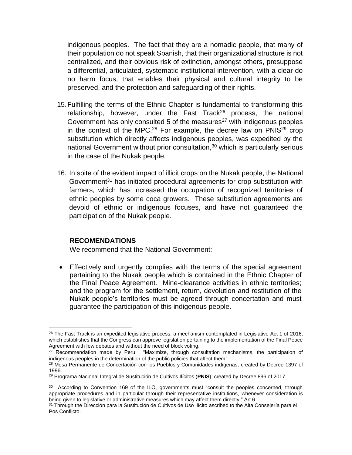indigenous peoples. The fact that they are a nomadic people, that many of their population do not speak Spanish, that their organizational structure is not centralized, and their obvious risk of extinction, amongst others, presuppose a differential, articulated, systematic institutional intervention, with a clear do no harm focus, that enables their physical and cultural integrity to be preserved, and the protection and safeguarding of their rights.

- 15.Fulfilling the terms of the Ethnic Chapter is fundamental to transforming this relationship, however, under the Fast Track<sup>26</sup> process, the national Government has only consulted 5 of the measures $27$  with indigenous peoples in the context of the MPC.<sup>28</sup> For example, the decree law on  $PMIS<sup>29</sup>$  crop substitution which directly affects indigenous peoples, was expedited by the national Government without prior consultation,<sup>30</sup> which is particularly serious in the case of the Nukak people.
- 16. In spite of the evident impact of illicit crops on the Nukak people, the National Government<sup>31</sup> has initiated procedural agreements for crop substitution with farmers, which has increased the occupation of recognized territories of ethnic peoples by some coca growers. These substitution agreements are devoid of ethnic or indigenous focuses, and have not guaranteed the participation of the Nukak people.

### **RECOMENDATIONS**

We recommend that the National Government:

 Effectively and urgently complies with the terms of the special agreement pertaining to the Nukak people which is contained in the Ethnic Chapter of the Final Peace Agreement. Mine-clearance activities in ethnic territories; and the program for the settlement, return, devolution and restitution of the Nukak people's territories must be agreed through concertation and must guarantee the participation of this indigenous people.

 $\ddot{\phantom{a}}$  $26$  The Fast Track is an expedited legislative process, a mechanism contemplated in Legislative Act 1 of 2016, which establishes that the Congress can approve legislation pertaining to the implementation of the Final Peace Agreement with few debates and without the need of block voting.

<sup>&</sup>lt;sup>27</sup> Recommendation made by Peru: "Maximize, through consultation mechanisms, the participation of indigenous peoples in the determination of the public policies that affect them"

<sup>&</sup>lt;sup>28</sup> Mesa Permanente de Concertación con los Pueblos y Comunidades indígenas, created by Decree 1397 of 1996.

<sup>29</sup> Programa Nacional Integral de Sustitución de Cultivos Ilícitos (**PNIS**), created by Decree 896 of 2017.

<sup>&</sup>lt;sup>30</sup> According to Convention 169 of the ILO, governments must "consult the peoples concerned, through appropriate procedures and in particular through their representative institutions, whenever consideration is being given to legislative or administrative measures which may affect them directly;" Art 6.

<sup>&</sup>lt;sup>31</sup> Through the Dirección para la Sustitución de Cultivos de Uso Ilícito ascribed to the Alta Consejería para el Pos Conflicto.